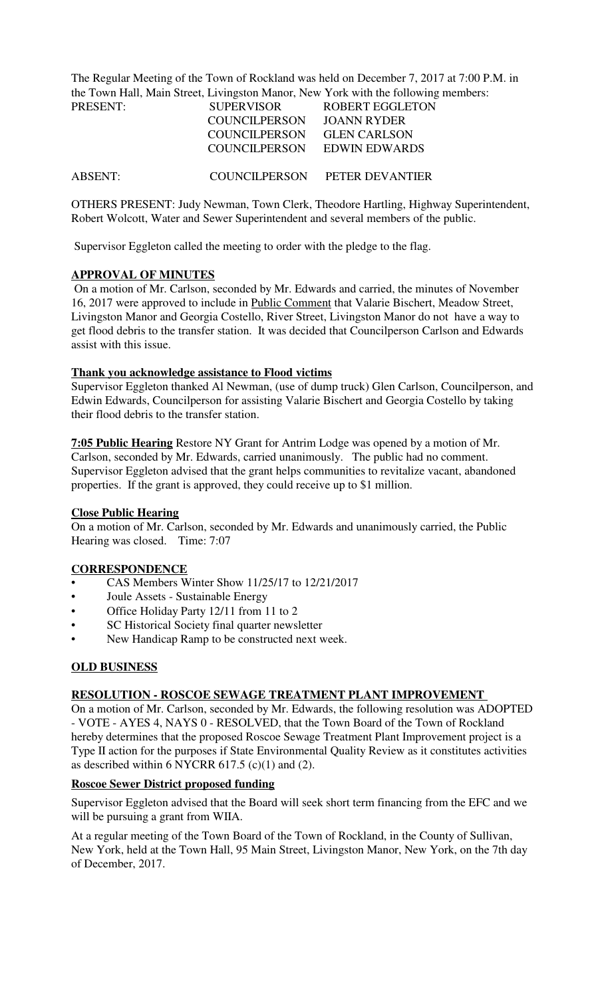The Regular Meeting of the Town of Rockland was held on December 7, 2017 at 7:00 P.M. in the Town Hall, Main Street, Livingston Manor, New York with the following members:

| PRESENT:       | <b>SUPERVISOR</b>    | <b>ROBERT EGGLETON</b> |  |
|----------------|----------------------|------------------------|--|
|                | <b>COUNCILPERSON</b> | JOANN RYDER            |  |
|                | <b>COUNCILPERSON</b> | <b>GLEN CARLSON</b>    |  |
|                | COUNCILPERSON        | EDWIN EDWARDS          |  |
|                |                      |                        |  |
| <b>ABSENT:</b> | COUNCILPERSON        | PETER DEVANTIER        |  |

OTHERS PRESENT: Judy Newman, Town Clerk, Theodore Hartling, Highway Superintendent, Robert Wolcott, Water and Sewer Superintendent and several members of the public.

Supervisor Eggleton called the meeting to order with the pledge to the flag.

### **APPROVAL OF MINUTES**

 On a motion of Mr. Carlson, seconded by Mr. Edwards and carried, the minutes of November 16, 2017 were approved to include in Public Comment that Valarie Bischert, Meadow Street, Livingston Manor and Georgia Costello, River Street, Livingston Manor do not have a way to get flood debris to the transfer station. It was decided that Councilperson Carlson and Edwards assist with this issue.

### **Thank you acknowledge assistance to Flood victims**

Supervisor Eggleton thanked Al Newman, (use of dump truck) Glen Carlson, Councilperson, and Edwin Edwards, Councilperson for assisting Valarie Bischert and Georgia Costello by taking their flood debris to the transfer station.

**7:05 Public Hearing** Restore NY Grant for Antrim Lodge was opened by a motion of Mr. Carlson, seconded by Mr. Edwards, carried unanimously. The public had no comment. Supervisor Eggleton advised that the grant helps communities to revitalize vacant, abandoned properties. If the grant is approved, they could receive up to \$1 million.

### **Close Public Hearing**

On a motion of Mr. Carlson, seconded by Mr. Edwards and unanimously carried, the Public Hearing was closed. Time: 7:07

### **CORRESPONDENCE**

- CAS Members Winter Show 11/25/17 to 12/21/2017
- Joule Assets Sustainable Energy
- Office Holiday Party 12/11 from 11 to 2
- SC Historical Society final quarter newsletter
- New Handicap Ramp to be constructed next week.

### **OLD BUSINESS**

### **RESOLUTION - ROSCOE SEWAGE TREATMENT PLANT IMPROVEMENT**

On a motion of Mr. Carlson, seconded by Mr. Edwards, the following resolution was ADOPTED - VOTE - AYES 4, NAYS 0 - RESOLVED, that the Town Board of the Town of Rockland hereby determines that the proposed Roscoe Sewage Treatment Plant Improvement project is a Type II action for the purposes if State Environmental Quality Review as it constitutes activities as described within 6 NYCRR 617.5 (c)(1) and (2).

### **Roscoe Sewer District proposed funding**

Supervisor Eggleton advised that the Board will seek short term financing from the EFC and we will be pursuing a grant from WIIA.

At a regular meeting of the Town Board of the Town of Rockland, in the County of Sullivan, New York, held at the Town Hall, 95 Main Street, Livingston Manor, New York, on the 7th day of December, 2017.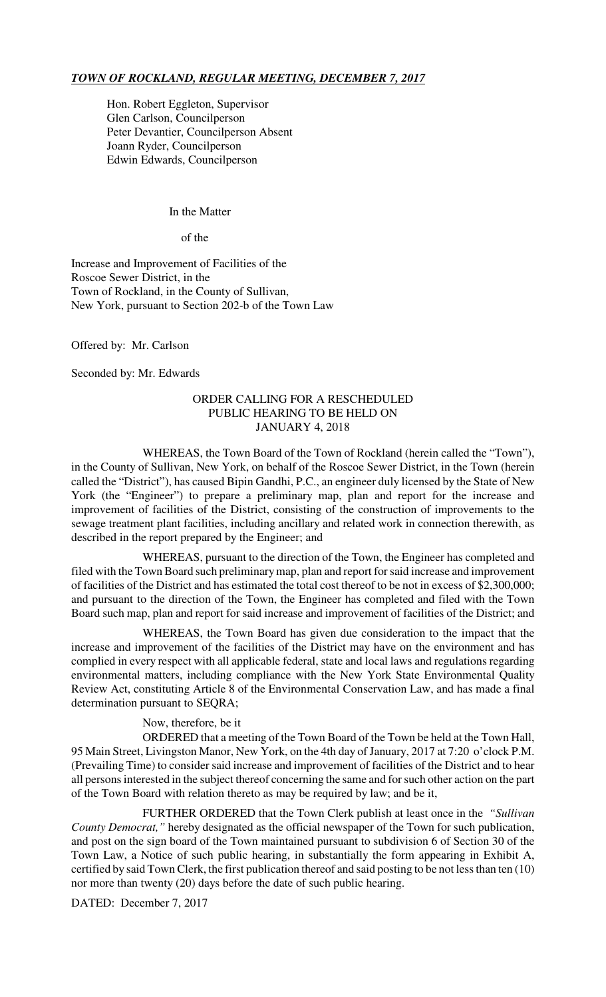### *TOWN OF ROCKLAND, REGULAR MEETING, DECEMBER 7, 2017*

Hon. Robert Eggleton, Supervisor Glen Carlson, Councilperson Peter Devantier, Councilperson Absent Joann Ryder, Councilperson Edwin Edwards, Councilperson

#### In the Matter

of the

Increase and Improvement of Facilities of the Roscoe Sewer District, in the Town of Rockland, in the County of Sullivan, New York, pursuant to Section 202-b of the Town Law

Offered by: Mr. Carlson

Seconded by: Mr. Edwards

#### ORDER CALLING FOR A RESCHEDULED PUBLIC HEARING TO BE HELD ON JANUARY 4, 2018

WHEREAS, the Town Board of the Town of Rockland (herein called the "Town"), in the County of Sullivan, New York, on behalf of the Roscoe Sewer District, in the Town (herein called the "District"), has caused Bipin Gandhi, P.C., an engineer duly licensed by the State of New York (the "Engineer") to prepare a preliminary map, plan and report for the increase and improvement of facilities of the District, consisting of the construction of improvements to the sewage treatment plant facilities, including ancillary and related work in connection therewith, as described in the report prepared by the Engineer; and

WHEREAS, pursuant to the direction of the Town, the Engineer has completed and filed with the Town Board such preliminary map, plan and report for said increase and improvement of facilities of the District and has estimated the total cost thereof to be not in excess of \$2,300,000; and pursuant to the direction of the Town, the Engineer has completed and filed with the Town Board such map, plan and report for said increase and improvement of facilities of the District; and

WHEREAS, the Town Board has given due consideration to the impact that the increase and improvement of the facilities of the District may have on the environment and has complied in every respect with all applicable federal, state and local laws and regulations regarding environmental matters, including compliance with the New York State Environmental Quality Review Act, constituting Article 8 of the Environmental Conservation Law, and has made a final determination pursuant to SEQRA;

Now, therefore, be it

ORDERED that a meeting of the Town Board of the Town be held at the Town Hall, 95 Main Street, Livingston Manor, New York, on the 4th day of January, 2017 at 7:20 o'clock P.M. (Prevailing Time) to consider said increase and improvement of facilities of the District and to hear all persons interested in the subject thereof concerning the same and for such other action on the part of the Town Board with relation thereto as may be required by law; and be it,

FURTHER ORDERED that the Town Clerk publish at least once in the *"Sullivan County Democrat,"* hereby designated as the official newspaper of the Town for such publication, and post on the sign board of the Town maintained pursuant to subdivision 6 of Section 30 of the Town Law, a Notice of such public hearing, in substantially the form appearing in Exhibit A, certified by said Town Clerk, the first publication thereof and said posting to be not less than ten (10) nor more than twenty (20) days before the date of such public hearing.

DATED: December 7, 2017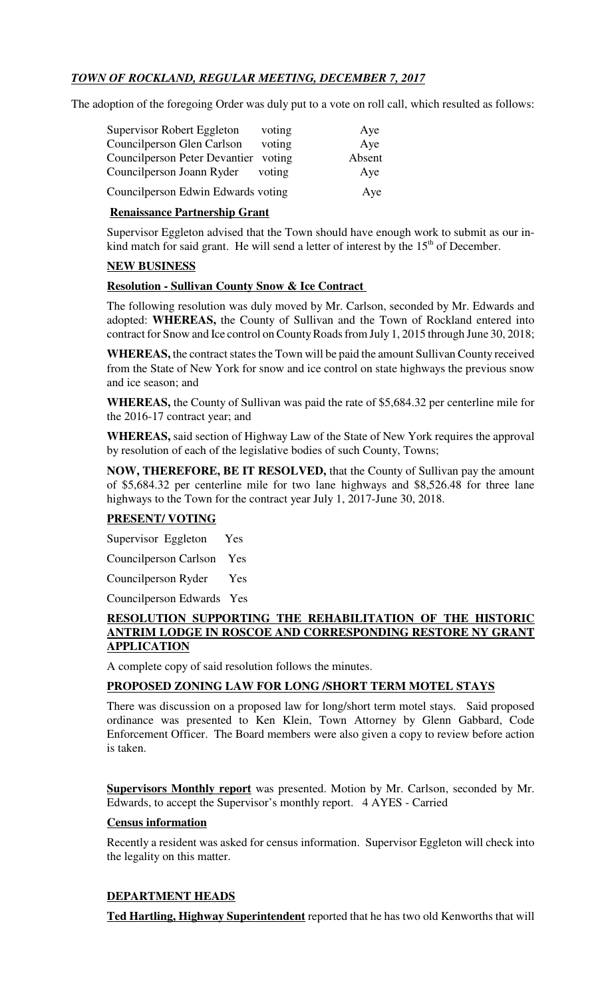# *TOWN OF ROCKLAND, REGULAR MEETING, DECEMBER 7, 2017*

The adoption of the foregoing Order was duly put to a vote on roll call, which resulted as follows:

| Supervisor Robert Eggleton         | voting | Aye    |
|------------------------------------|--------|--------|
| Councilperson Glen Carlson         | voting | Aye    |
| Councilperson Peter Devantier      | voting | Absent |
| Councilperson Joann Ryder          | voting | Aye    |
| Councilperson Edwin Edwards voting |        | Aye    |

# **Renaissance Partnership Grant**

Supervisor Eggleton advised that the Town should have enough work to submit as our inkind match for said grant. He will send a letter of interest by the  $15<sup>th</sup>$  of December.

# **NEW BUSINESS**

### **Resolution - Sullivan County Snow & Ice Contract**

The following resolution was duly moved by Mr. Carlson, seconded by Mr. Edwards and adopted: **WHEREAS,** the County of Sullivan and the Town of Rockland entered into contract for Snow and Ice control on County Roads from July 1, 2015 through June 30, 2018;

**WHEREAS,** the contract states the Town will be paid the amount Sullivan County received from the State of New York for snow and ice control on state highways the previous snow and ice season; and

**WHEREAS,** the County of Sullivan was paid the rate of \$5,684.32 per centerline mile for the 2016-17 contract year; and

**WHEREAS,** said section of Highway Law of the State of New York requires the approval by resolution of each of the legislative bodies of such County, Towns;

**NOW, THEREFORE, BE IT RESOLVED,** that the County of Sullivan pay the amount of \$5,684.32 per centerline mile for two lane highways and \$8,526.48 for three lane highways to the Town for the contract year July 1, 2017-June 30, 2018.

# **PRESENT/ VOTING**

Supervisor Eggleton Yes

Councilperson Carlson Yes

Councilperson Ryder Yes

Councilperson Edwards Yes

# **RESOLUTION SUPPORTING THE REHABILITATION OF THE HISTORIC ANTRIM LODGE IN ROSCOE AND CORRESPONDING RESTORE NY GRANT APPLICATION**

A complete copy of said resolution follows the minutes.

### **PROPOSED ZONING LAW FOR LONG /SHORT TERM MOTEL STAYS**

There was discussion on a proposed law for long/short term motel stays. Said proposed ordinance was presented to Ken Klein, Town Attorney by Glenn Gabbard, Code Enforcement Officer. The Board members were also given a copy to review before action is taken.

**Supervisors Monthly report** was presented. Motion by Mr. Carlson, seconded by Mr. Edwards, to accept the Supervisor's monthly report. 4 AYES - Carried

### **Census information**

Recently a resident was asked for census information. Supervisor Eggleton will check into the legality on this matter.

# **DEPARTMENT HEADS**

**Ted Hartling, Highway Superintendent** reported that he has two old Kenworths that will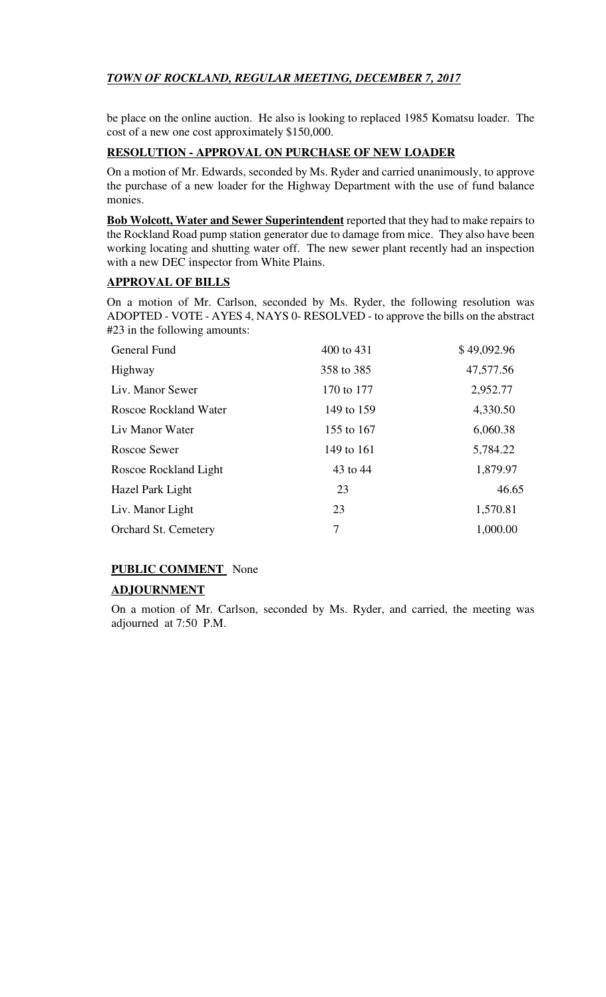# *TOWN OF ROCKLAND, REGULAR MEETING, DECEMBER 7, 2017*

be place on the online auction. He also is looking to replaced 1985 Komatsu loader. The cost of a new one cost approximately \$150,000.

# **RESOLUTION - APPROVAL ON PURCHASE OF NEW LOADER**

On a motion of Mr. Edwards, seconded by Ms. Ryder and carried unanimously, to approve the purchase of a new loader for the Highway Department with the use of fund balance monies.

**Bob Wolcott, Water and Sewer Superintendent** reported that they had to make repairs to the Rockland Road pump station generator due to damage from mice. They also have been working locating and shutting water off. The new sewer plant recently had an inspection with a new DEC inspector from White Plains.

# **APPROVAL OF BILLS**

On a motion of Mr. Carlson, seconded by Ms. Ryder, the following resolution was ADOPTED - VOTE - AYES 4, NAYS 0- RESOLVED - to approve the bills on the abstract #23 in the following amounts:

| <b>General Fund</b>   | 400 to 431 | \$49,092.96 |
|-----------------------|------------|-------------|
| Highway               | 358 to 385 | 47,577.56   |
| Liv. Manor Sewer      | 170 to 177 | 2,952.77    |
| Roscoe Rockland Water | 149 to 159 | 4,330.50    |
| Liv Manor Water       | 155 to 167 | 6,060.38    |
| Roscoe Sewer          | 149 to 161 | 5,784.22    |
| Roscoe Rockland Light | 43 to 44   | 1,879.97    |
| Hazel Park Light      | 23         | 46.65       |
| Liv. Manor Light      | 23         | 1,570.81    |
| Orchard St. Cemetery  | 7          | 1,000.00    |

# **PUBLIC COMMENT** None

# **ADJOURNMENT**

On a motion of Mr. Carlson, seconded by Ms. Ryder, and carried, the meeting was adjourned at 7:50 P.M.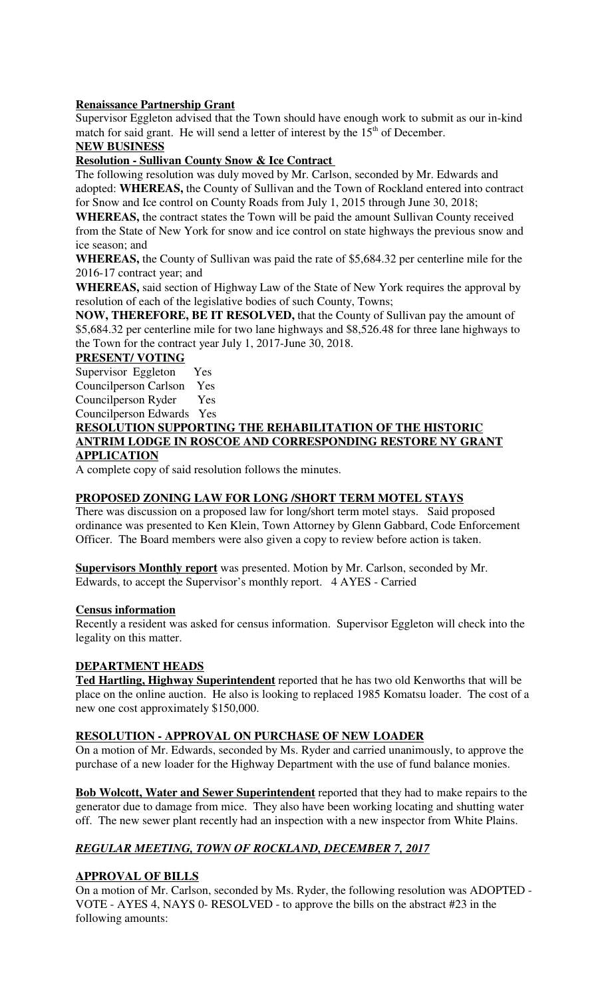### **Renaissance Partnership Grant**

Supervisor Eggleton advised that the Town should have enough work to submit as our in-kind match for said grant. He will send a letter of interest by the  $15<sup>th</sup>$  of December.

# **NEW BUSINESS**

# **Resolution - Sullivan County Snow & Ice Contract**

The following resolution was duly moved by Mr. Carlson, seconded by Mr. Edwards and adopted: **WHEREAS,** the County of Sullivan and the Town of Rockland entered into contract for Snow and Ice control on County Roads from July 1, 2015 through June 30, 2018;

**WHEREAS,** the contract states the Town will be paid the amount Sullivan County received from the State of New York for snow and ice control on state highways the previous snow and ice season; and

**WHEREAS,** the County of Sullivan was paid the rate of \$5,684.32 per centerline mile for the 2016-17 contract year; and

**WHEREAS,** said section of Highway Law of the State of New York requires the approval by resolution of each of the legislative bodies of such County, Towns;

**NOW, THEREFORE, BE IT RESOLVED,** that the County of Sullivan pay the amount of \$5,684.32 per centerline mile for two lane highways and \$8,526.48 for three lane highways to the Town for the contract year July 1, 2017-June 30, 2018.

### **PRESENT/ VOTING**

Supervisor Eggleton Yes Councilperson Carlson Yes Councilperson Ryder Yes

Councilperson Edwards Yes

**RESOLUTION SUPPORTING THE REHABILITATION OF THE HISTORIC ANTRIM LODGE IN ROSCOE AND CORRESPONDING RESTORE NY GRANT APPLICATION**

A complete copy of said resolution follows the minutes.

### **PROPOSED ZONING LAW FOR LONG /SHORT TERM MOTEL STAYS**

There was discussion on a proposed law for long/short term motel stays. Said proposed ordinance was presented to Ken Klein, Town Attorney by Glenn Gabbard, Code Enforcement Officer. The Board members were also given a copy to review before action is taken.

**Supervisors Monthly report** was presented. Motion by Mr. Carlson, seconded by Mr. Edwards, to accept the Supervisor's monthly report. 4 AYES - Carried

### **Census information**

Recently a resident was asked for census information. Supervisor Eggleton will check into the legality on this matter.

### **DEPARTMENT HEADS**

**Ted Hartling, Highway Superintendent** reported that he has two old Kenworths that will be place on the online auction. He also is looking to replaced 1985 Komatsu loader. The cost of a new one cost approximately \$150,000.

# **RESOLUTION - APPROVAL ON PURCHASE OF NEW LOADER**

On a motion of Mr. Edwards, seconded by Ms. Ryder and carried unanimously, to approve the purchase of a new loader for the Highway Department with the use of fund balance monies.

**Bob Wolcott, Water and Sewer Superintendent** reported that they had to make repairs to the generator due to damage from mice. They also have been working locating and shutting water off. The new sewer plant recently had an inspection with a new inspector from White Plains.

# *REGULAR MEETING, TOWN OF ROCKLAND, DECEMBER 7, 2017*

### **APPROVAL OF BILLS**

On a motion of Mr. Carlson, seconded by Ms. Ryder, the following resolution was ADOPTED - VOTE - AYES 4, NAYS 0- RESOLVED - to approve the bills on the abstract #23 in the following amounts: